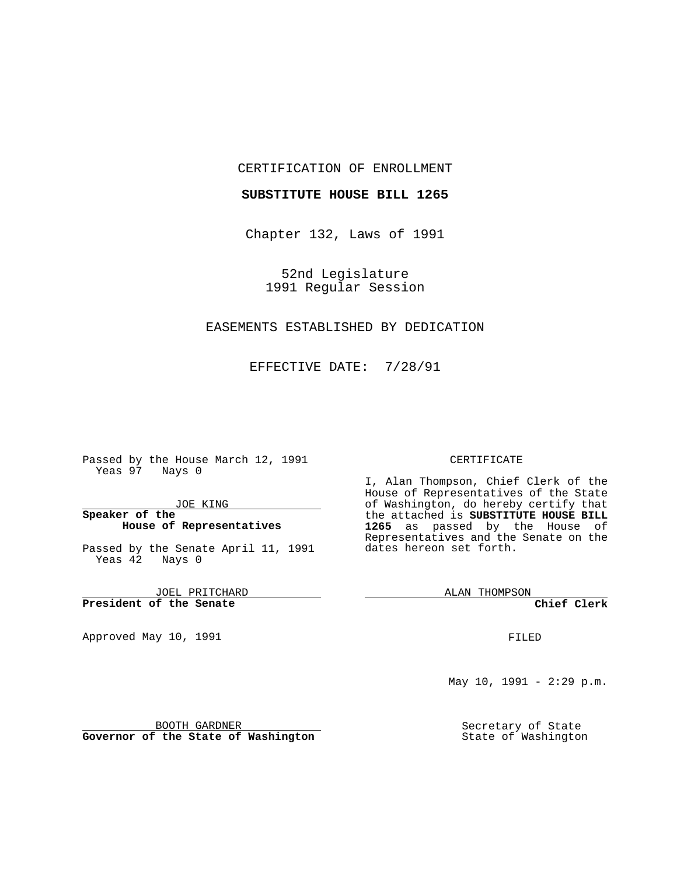#### CERTIFICATION OF ENROLLMENT

### **SUBSTITUTE HOUSE BILL 1265**

Chapter 132, Laws of 1991

52nd Legislature 1991 Regular Session

## EASEMENTS ESTABLISHED BY DEDICATION

EFFECTIVE DATE: 7/28/91

Passed by the House March 12, 1991 Yeas 97 Nays 0

JOE KING

### **Speaker of the House of Representatives**

Passed by the Senate April 11, 1991 Yeas 42 Nays 0

JOEL PRITCHARD **President of the Senate**

Approved May 10, 1991

#### CERTIFICATE

I, Alan Thompson, Chief Clerk of the House of Representatives of the State of Washington, do hereby certify that the attached is **SUBSTITUTE HOUSE BILL 1265** as passed by the House of Representatives and the Senate on the dates hereon set forth.

ALAN THOMPSON

**Chief Clerk**

FILED

May  $10$ ,  $1991 - 2:29$  p.m.

Secretary of State State of Washington

BOOTH GARDNER **Governor of the State of Washington**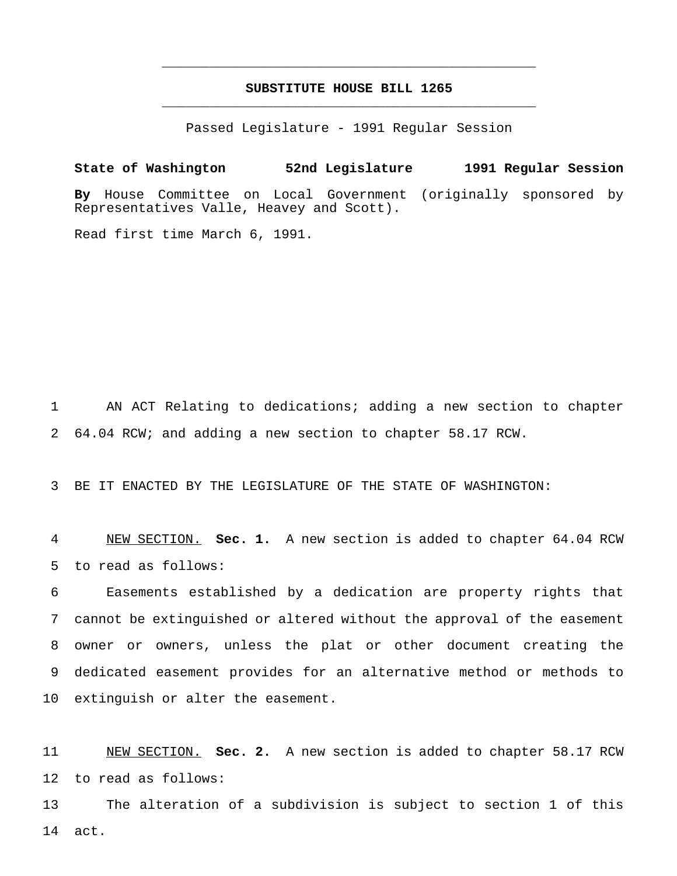# **SUBSTITUTE HOUSE BILL 1265** \_\_\_\_\_\_\_\_\_\_\_\_\_\_\_\_\_\_\_\_\_\_\_\_\_\_\_\_\_\_\_\_\_\_\_\_\_\_\_\_\_\_\_\_\_\_\_

\_\_\_\_\_\_\_\_\_\_\_\_\_\_\_\_\_\_\_\_\_\_\_\_\_\_\_\_\_\_\_\_\_\_\_\_\_\_\_\_\_\_\_\_\_\_\_

Passed Legislature - 1991 Regular Session

**State of Washington 52nd Legislature 1991 Regular Session By** House Committee on Local Government (originally sponsored by Representatives Valle, Heavey and Scott).

Read first time March 6, 1991.

 AN ACT Relating to dedications; adding a new section to chapter 64.04 RCW; and adding a new section to chapter 58.17 RCW.

BE IT ENACTED BY THE LEGISLATURE OF THE STATE OF WASHINGTON:

 NEW SECTION. **Sec. 1.** A new section is added to chapter 64.04 RCW to read as follows:

 Easements established by a dedication are property rights that cannot be extinguished or altered without the approval of the easement owner or owners, unless the plat or other document creating the dedicated easement provides for an alternative method or methods to extinguish or alter the easement.

 NEW SECTION. **Sec. 2.** A new section is added to chapter 58.17 RCW to read as follows:

 The alteration of a subdivision is subject to section 1 of this act.